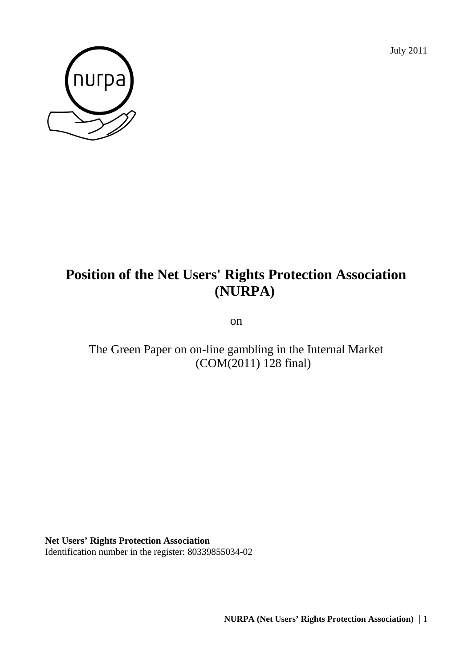July 2011



# **Position of the Net Users' Rights Protection Association (NURPA)**

on

The Green Paper on on-line gambling in the Internal Market (COM(2011) 128 final)

**Net Users' Rights Protection Association**  Identification number in the register: 80339855034-02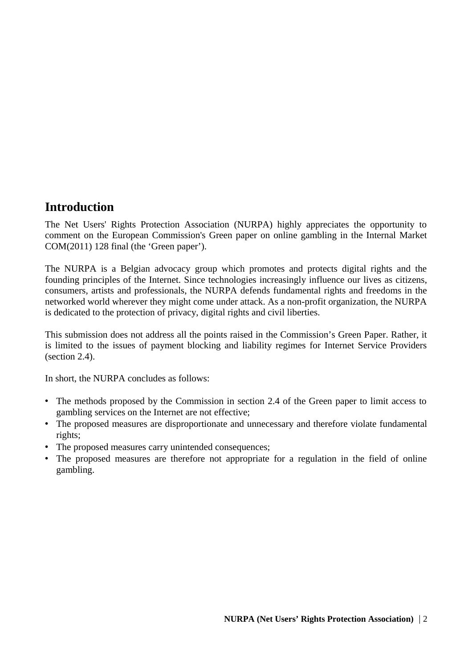#### **Introduction**

The Net Users' Rights Protection Association (NURPA) highly appreciates the opportunity to comment on the European Commission's Green paper on online gambling in the Internal Market COM(2011) 128 final (the 'Green paper').

The NURPA is a Belgian advocacy group which promotes and protects digital rights and the founding principles of the Internet. Since technologies increasingly influence our lives as citizens, consumers, artists and professionals, the NURPA defends fundamental rights and freedoms in the networked world wherever they might come under attack. As a non-profit organization, the NURPA is dedicated to the protection of privacy, digital rights and civil liberties.

This submission does not address all the points raised in the Commission's Green Paper. Rather, it is limited to the issues of payment blocking and liability regimes for Internet Service Providers (section 2.4).

In short, the NURPA concludes as follows:

- The methods proposed by the Commission in section 2.4 of the Green paper to limit access to gambling services on the Internet are not effective;
- The proposed measures are disproportionate and unnecessary and therefore violate fundamental rights;
- The proposed measures carry unintended consequences;
- The proposed measures are therefore not appropriate for a regulation in the field of online gambling.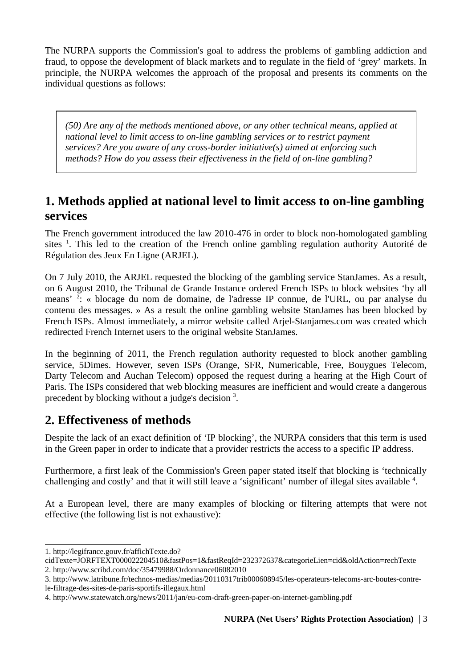The NURPA supports the Commission's goal to address the problems of gambling addiction and fraud, to oppose the development of black markets and to regulate in the field of 'grey' markets. In principle, the NURPA welcomes the approach of the proposal and presents its comments on the individual questions as follows:

*(50) Are any of the methods mentioned above, or any other technical means, applied at national level to limit access to on-line gambling services or to restrict payment services? Are you aware of any cross-border initiative(s) aimed at enforcing such methods? How do you assess their effectiveness in the field of on-line gambling?*

### **1. Methods applied at national level to limit access to on-line gambling services**

The French government introduced the law 2010-476 in order to block non-homologated gambling sites<sup>1</sup>.This led to the creation of the French online gambling regulation authority Autorité de Régulation des Jeux En Ligne (ARJEL).

On 7 July 2010, the ARJEL requested the blocking of the gambling service StanJames. As a result, on 6 August 2010, the Tribunal de Grande Instance ordered French ISPs to block websites 'by all means'<sup>2</sup>: « blocage du nom de domaine, de l'adresse IP connue, de l'URL, ou par analyse du contenu des messages. » As a result the online gambling website StanJames has been blocked by French ISPs. Almost immediately, a mirror website called Arjel-Stanjames.com was created which redirected French Internet users to the original website StanJames.

In the beginning of 2011, the French regulation authority requested to block another gambling service, 5Dimes. However, seven ISPs (Orange, SFR, Numericable, Free, Bouygues Telecom, Darty Telecom and Auchan Telecom) opposed the request during a hearing at the High Court of Paris. The ISPs considered that web blocking measures are inefficient and would create a dangerous precedent by blocking without a judge's decision<sup>[3](#page-2-2)</sup>.

### **2. Effectiveness of methods**

Despite the lack of an exact definition of 'IP blocking', the NURPA considers that this term is used in the Green paper in order to indicate that a provider restricts the access to a specific IP address.

Furthermore, a first leak of the Commission's Green paper stated itself that blocking is 'technically challenging and costly' and that it will still leave a 'significant' number of illegal sites available <sup>[4](#page-2-3)</sup>.

At a European level, there are many examples of blocking or filtering attempts that were not effective (the following list is not exhaustive):

<span id="page-2-0"></span><sup>1.</sup> http://legifrance.gouv.fr/affichTexte.do?

<span id="page-2-1"></span>cidTexte=JORFTEXT000022204510&fastPos=1&fastReqId=232372637&categorieLien=cid&oldAction=rechTexte 2. http://www.scribd.com/doc/35479988/Ordonnance06082010

<span id="page-2-2"></span><sup>3.</sup> http://www.latribune.fr/technos-medias/medias/20110317trib000608945/les-operateurs-telecoms-arc-boutes-contre-

le-filtrage-des-sites-de-paris-sportifs-illegaux.html

<span id="page-2-3"></span><sup>4.</sup> http://www.statewatch.org/news/2011/jan/eu-com-draft-green-paper-on-internet-gambling.pdf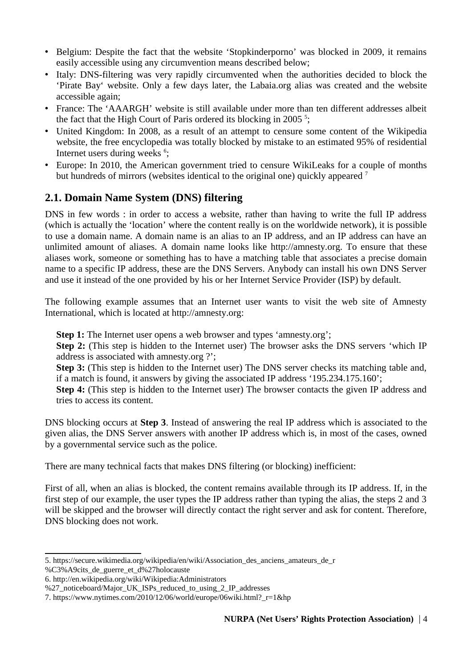- Belgium: Despite the fact that the website 'Stopkinderporno' was blocked in 2009, it remains easily accessible using any circumvention means described below;
- Italy: DNS-filtering was very rapidly circumvented when the authorities decided to block the 'Pirate Bay' website. Only a few days later, the Labaia.org alias was created and the website accessible again;
- France: The 'AAARGH' website is still available under more than ten different addresses albeit the fact that the High Court of Paris ordered its blocking in 200[5](#page-3-0) $5$ ;
- United Kingdom: In 2008, as a result of an attempt to censure some content of the Wikipedia website, the free encyclopedia was totally blocked by mistake to an estimated 95% of residential Internet users during weeks  $6$ ;
- Europe: In 2010, the American government tried to censure WikiLeaks for a couple of months but hundreds of mirrors (websites identical to the original one) quickly appeared <sup>[7](#page-3-2)</sup>

#### **2.1. Domain Name System (DNS) filtering**

DNS in few words : in order to access a website, rather than having to write the full IP address (which is actually the 'location' where the content really is on the worldwide network), it is possible to use a domain name. A domain name is an alias to an IP address, and an IP address can have an unlimited amount of aliases. A domain name looks like http://amnesty.org. To ensure that these aliases work, someone or something has to have a matching table that associates a precise domain name to a specific IP address, these are the DNS Servers. Anybody can install his own DNS Server and use it instead of the one provided by his or her Internet Service Provider (ISP) by default.

The following example assumes that an Internet user wants to visit the web site of Amnesty International, which is located at http://amnesty.org:

**Step 1:** The Internet user opens a web browser and types 'amnesty.org';

**Step 2:** (This step is hidden to the Internet user) The browser asks the DNS servers 'which IP address is associated with amnesty.org ?';

**Step 3:** (This step is hidden to the Internet user) The DNS server checks its matching table and, if a match is found, it answers by giving the associated IP address '195.234.175.160';

**Step 4:** (This step is hidden to the Internet user) The browser contacts the given IP address and tries to access its content.

DNS blocking occurs at **Step 3**. Instead of answering the real IP address which is associated to the given alias, the DNS Server answers with another IP address which is, in most of the cases, owned by a governmental service such as the police.

There are many technical facts that makes DNS filtering (or blocking) inefficient:

First of all, when an alias is blocked, the content remains available through its IP address. If, in the first step of our example, the user types the IP address rather than typing the alias, the steps 2 and 3 will be skipped and the browser will directly contact the right server and ask for content. Therefore, DNS blocking does not work.

%C3%A9cits\_de\_guerre\_et\_d%27holocauste

<span id="page-3-0"></span><sup>5.</sup> https://secure.wikimedia.org/wikipedia/en/wiki/Association\_des\_anciens\_amateurs\_de\_r

<span id="page-3-1"></span><sup>6.</sup> http://en.wikipedia.org/wiki/Wikipedia:Administrators

<sup>%27</sup>\_noticeboard/Major\_UK\_ISPs\_reduced\_to\_using\_2\_IP\_addresses

<span id="page-3-2"></span><sup>7.</sup> https://www.nytimes.com/2010/12/06/world/europe/06wiki.html?\_r=1&hp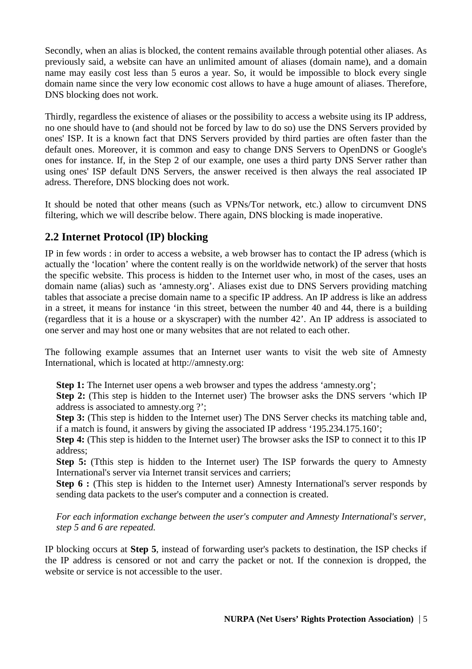Secondly, when an alias is blocked, the content remains available through potential other aliases. As previously said, a website can have an unlimited amount of aliases (domain name), and a domain name may easily cost less than 5 euros a year. So, it would be impossible to block every single domain name since the very low economic cost allows to have a huge amount of aliases. Therefore, DNS blocking does not work.

Thirdly, regardless the existence of aliases or the possibility to access a website using its IP address, no one should have to (and should not be forced by law to do so) use the DNS Servers provided by ones' ISP. It is a known fact that DNS Servers provided by third parties are often faster than the default ones. Moreover, it is common and easy to change DNS Servers to OpenDNS or Google's ones for instance. If, in the Step 2 of our example, one uses a third party DNS Server rather than using ones' ISP default DNS Servers, the answer received is then always the real associated IP adress. Therefore, DNS blocking does not work.

It should be noted that other means (such as VPNs/Tor network, etc.) allow to circumvent DNS filtering, which we will describe below. There again, DNS blocking is made inoperative.

#### **2.2 Internet Protocol (IP) blocking**

IP in few words : in order to access a website, a web browser has to contact the IP adress (which is actually the 'location' where the content really is on the worldwide network) of the server that hosts the specific website. This process is hidden to the Internet user who, in most of the cases, uses an domain name (alias) such as 'amnesty.org'. Aliases exist due to DNS Servers providing matching tables that associate a precise domain name to a specific IP address. An IP address is like an address in a street, it means for instance 'in this street, between the number 40 and 44, there is a building (regardless that it is a house or a skyscraper) with the number 42'. An IP address is associated to one server and may host one or many websites that are not related to each other.

The following example assumes that an Internet user wants to visit the web site of Amnesty International, which is located at http://amnesty.org:

**Step 1:** The Internet user opens a web browser and types the address 'amnesty.org';

**Step 2:** (This step is hidden to the Internet user) The browser asks the DNS servers 'which IP address is associated to amnesty.org ?';

**Step 3:** (This step is hidden to the Internet user) The DNS Server checks its matching table and, if a match is found, it answers by giving the associated IP address '195.234.175.160';

**Step 4:** (This step is hidden to the Internet user) The browser asks the ISP to connect it to this IP address;

**Step 5:** (Tthis step is hidden to the Internet user) The ISP forwards the query to Amnesty International's server via Internet transit services and carriers;

**Step 6 :** (This step is hidden to the Internet user) Amnesty International's server responds by sending data packets to the user's computer and a connection is created.

*For each information exchange between the user's computer and Amnesty International's server, step 5 and 6 are repeated.*

IP blocking occurs at **Step 5**, instead of forwarding user's packets to destination, the ISP checks if the IP address is censored or not and carry the packet or not. If the connexion is dropped, the website or service is not accessible to the user.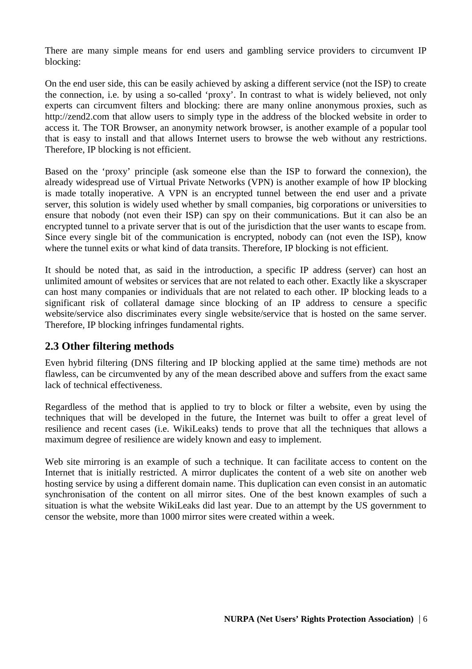There are many simple means for end users and gambling service providers to circumvent IP blocking:

On the end user side, this can be easily achieved by asking a different service (not the ISP) to create the connection, i.e. by using a so-called 'proxy'. In contrast to what is widely believed, not only experts can circumvent filters and blocking: there are many online anonymous proxies, such as http://zend2.com that allow users to simply type in the address of the blocked website in order to access it. The TOR Browser, an anonymity network browser, is another example of a popular tool that is easy to install and that allows Internet users to browse the web without any restrictions. Therefore, IP blocking is not efficient.

Based on the 'proxy' principle (ask someone else than the ISP to forward the connexion), the already widespread use of Virtual Private Networks (VPN) is another example of how IP blocking is made totally inoperative. A VPN is an encrypted tunnel between the end user and a private server, this solution is widely used whether by small companies, big corporations or universities to ensure that nobody (not even their ISP) can spy on their communications. But it can also be an encrypted tunnel to a private server that is out of the jurisdiction that the user wants to escape from. Since every single bit of the communication is encrypted, nobody can (not even the ISP), know where the tunnel exits or what kind of data transits. Therefore, IP blocking is not efficient.

It should be noted that, as said in the introduction, a specific IP address (server) can host an unlimited amount of websites or services that are not related to each other. Exactly like a skyscraper can host many companies or individuals that are not related to each other. IP blocking leads to a significant risk of collateral damage since blocking of an IP address to censure a specific website/service also discriminates every single website/service that is hosted on the same server. Therefore, IP blocking infringes fundamental rights.

#### **2.3 Other filtering methods**

Even hybrid filtering (DNS filtering and IP blocking applied at the same time) methods are not flawless, can be circumvented by any of the mean described above and suffers from the exact same lack of technical effectiveness.

Regardless of the method that is applied to try to block or filter a website, even by using the techniques that will be developed in the future, the Internet was built to offer a great level of resilience and recent cases (i.e. WikiLeaks) tends to prove that all the techniques that allows a maximum degree of resilience are widely known and easy to implement.

Web site mirroring is an example of such a technique. It can facilitate access to content on the Internet that is initially restricted. A mirror duplicates the content of a web site on another web hosting service by using a different domain name. This duplication can even consist in an automatic synchronisation of the content on all mirror sites. One of the best known examples of such a situation is what the website WikiLeaks did last year. Due to an attempt by the US government to censor the website, more than 1000 mirror sites were created within a week.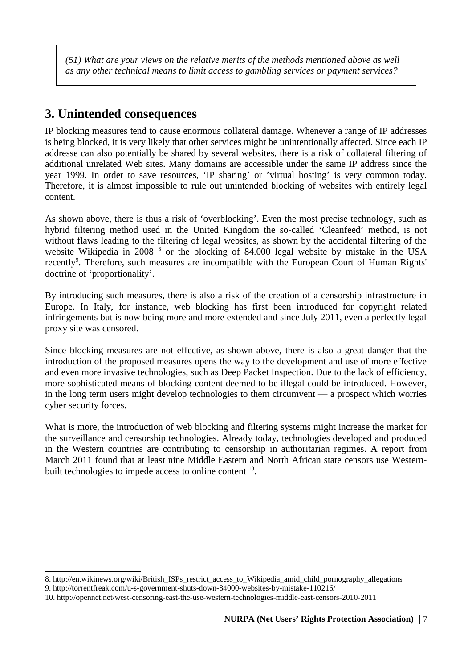*(51) What are your views on the relative merits of the methods mentioned above as well as any other technical means to limit access to gambling services or payment services?*

### **3. Unintended consequences**

IP blocking measures tend to cause enormous collateral damage. Whenever a range of IP addresses is being blocked, it is very likely that other services might be unintentionally affected. Since each IP addresse can also potentially be shared by several websites, there is a risk of collateral filtering of additional unrelated Web sites. Many domains are accessible under the same IP address since the year 1999. In order to save resources, 'IP sharing' or 'virtual hosting' is very common today. Therefore, it is almost impossible to rule out unintended blocking of websites with entirely legal content.

As shown above, there is thus a risk of 'overblocking'. Even the most precise technology, such as hybrid filtering method used in the United Kingdom the so-called 'Cleanfeed' method, is not without flaws leading to the filtering of legal websites, as shown by the accidental filtering of the websiteWikipedia in 2008  $^8$  or the blocking of 84.000 legal website by mistake in the USA recently<sup>[9](#page-6-1)</sup>. Therefore, such measures are incompatible with the European Court of Human Rights' doctrine of 'proportionality'.

By introducing such measures, there is also a risk of the creation of a censorship infrastructure in Europe. In Italy, for instance, web blocking has first been introduced for copyright related infringements but is now being more and more extended and since July 2011, even a perfectly legal proxy site was censored.

Since blocking measures are not effective, as shown above, there is also a great danger that the introduction of the proposed measures opens the way to the development and use of more effective and even more invasive technologies, such as Deep Packet Inspection. Due to the lack of efficiency, more sophisticated means of blocking content deemed to be illegal could be introduced. However, in the long term users might develop technologies to them circumvent — a prospect which worries cyber security forces.

What is more, the introduction of web blocking and filtering systems might increase the market for the surveillance and censorship technologies. Already today, technologies developed and produced in the Western countries are contributing to censorship in authoritarian regimes. A report from March 2011 found that at least nine Middle Eastern and North African state censors use Westernbuilt technologies to impede access to online content  $10$ .

<span id="page-6-0"></span><sup>8.</sup> http://en.wikinews.org/wiki/British\_ISPs\_restrict\_access\_to\_Wikipedia\_amid\_child\_pornography\_allegations

<span id="page-6-1"></span><sup>9.</sup> http://torrentfreak.com/u-s-government-shuts-down-84000-websites-by-mistake-110216/

<span id="page-6-2"></span><sup>10.</sup> http://opennet.net/west-censoring-east-the-use-western-technologies-middle-east-censors-2010-2011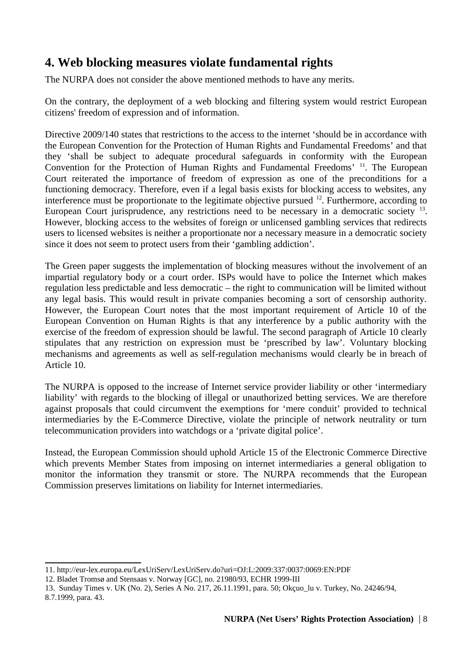## **4. Web blocking measures violate fundamental rights**

The NURPA does not consider the above mentioned methods to have any merits.

On the contrary, the deployment of a web blocking and filtering system would restrict European citizens' freedom of expression and of information.

Directive 2009/140 states that restrictions to the access to the internet 'should be in accordance with the European Convention for the Protection of Human Rights and Fundamental Freedoms' and that they 'shall be subject to adequate procedural safeguards in conformity with the European Convention for the Protection of Human Rights and Fundamental Freedoms'<sup>11</sup>. The European Court reiterated the importance of freedom of expression as one of the preconditions for a functioning democracy. Therefore, even if a legal basis exists for blocking access to websites, any interference must be proportionate to the legitimate objective pursued <sup>[12](#page-7-1)</sup>. Furthermore, according to EuropeanCourt jurisprudence, any restrictions need to be necessary in a democratic society  $^{13}$ . However, blocking access to the websites of foreign or unlicensed gambling services that redirects users to licensed websites is neither a proportionate nor a necessary measure in a democratic society since it does not seem to protect users from their 'gambling addiction'.

The Green paper suggests the implementation of blocking measures without the involvement of an impartial regulatory body or a court order. ISPs would have to police the Internet which makes regulation less predictable and less democratic – the right to communication will be limited without any legal basis. This would result in private companies becoming a sort of censorship authority. However, the European Court notes that the most important requirement of Article 10 of the European Convention on Human Rights is that any interference by a public authority with the exercise of the freedom of expression should be lawful. The second paragraph of Article 10 clearly stipulates that any restriction on expression must be 'prescribed by law'. Voluntary blocking mechanisms and agreements as well as self-regulation mechanisms would clearly be in breach of Article 10.

The NURPA is opposed to the increase of Internet service provider liability or other 'intermediary liability' with regards to the blocking of illegal or unauthorized betting services. We are therefore against proposals that could circumvent the exemptions for 'mere conduit' provided to technical intermediaries by the E-Commerce Directive, violate the principle of network neutrality or turn telecommunication providers into watchdogs or a 'private digital police'.

Instead, the European Commission should uphold Article 15 of the Electronic Commerce Directive which prevents Member States from imposing on internet intermediaries a general obligation to monitor the information they transmit or store. The NURPA recommends that the European Commission preserves limitations on liability for Internet intermediaries.

<span id="page-7-0"></span><sup>11.</sup> http://eur-lex.europa.eu/LexUriServ/LexUriServ.do?uri=OJ:L:2009:337:0037:0069:EN:PDF

<span id="page-7-1"></span><sup>12.</sup> Bladet Tromsø and Stensaas v. Norway [GC], no. 21980/93, ECHR 1999-III

<span id="page-7-2"></span><sup>13.</sup> Sunday Times v. UK (No. 2), Series A No. 217, 26.11.1991, para. 50; Okçuo\_lu v. Turkey, No. 24246/94, 8.7.1999, para. 43.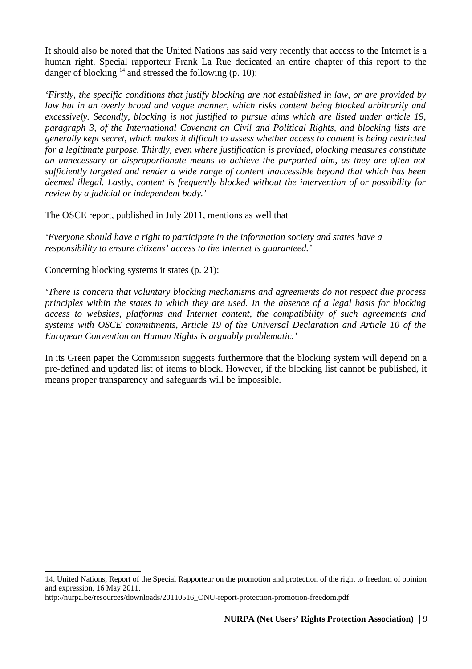It should also be noted that the United Nations has said very recently that access to the Internet is a human right. Special rapporteur Frank La Rue dedicated an entire chapter of this report to the danger of blocking  $^{14}$  $^{14}$  $^{14}$  and stressed the following (p. 10):

*'Firstly, the specific conditions that justify blocking are not established in law, or are provided by law but in an overly broad and vague manner, which risks content being blocked arbitrarily and excessively. Secondly, blocking is not justified to pursue aims which are listed under article 19, paragraph 3, of the International Covenant on Civil and Political Rights, and blocking lists are generally kept secret, which makes it difficult to assess whether access to content is being restricted for a legitimate purpose. Thirdly, even where justification is provided, blocking measures constitute an unnecessary or disproportionate means to achieve the purported aim, as they are often not sufficiently targeted and render a wide range of content inaccessible beyond that which has been deemed illegal. Lastly, content is frequently blocked without the intervention of or possibility for review by a judicial or independent body.'*

The OSCE report, published in July 2011, mentions as well that

*'Everyone should have a right to participate in the information society and states have a responsibility to ensure citizens' access to the Internet is guaranteed.'*

Concerning blocking systems it states (p. 21):

*'There is concern that voluntary blocking mechanisms and agreements do not respect due process principles within the states in which they are used. In the absence of a legal basis for blocking access to websites, platforms and Internet content, the compatibility of such agreements and systems with OSCE commitments, Article 19 of the Universal Declaration and Article 10 of the European Convention on Human Rights is arguably problematic.'*

In its Green paper the Commission suggests furthermore that the blocking system will depend on a pre-defined and updated list of items to block. However, if the blocking list cannot be published, it means proper transparency and safeguards will be impossible.

<span id="page-8-0"></span><sup>14.</sup> United Nations, Report of the Special Rapporteur on the promotion and protection of the right to freedom of opinion and expression, 16 May 2011.

http://nurpa.be/resources/downloads/20110516\_ONU-report-protection-promotion-freedom.pdf